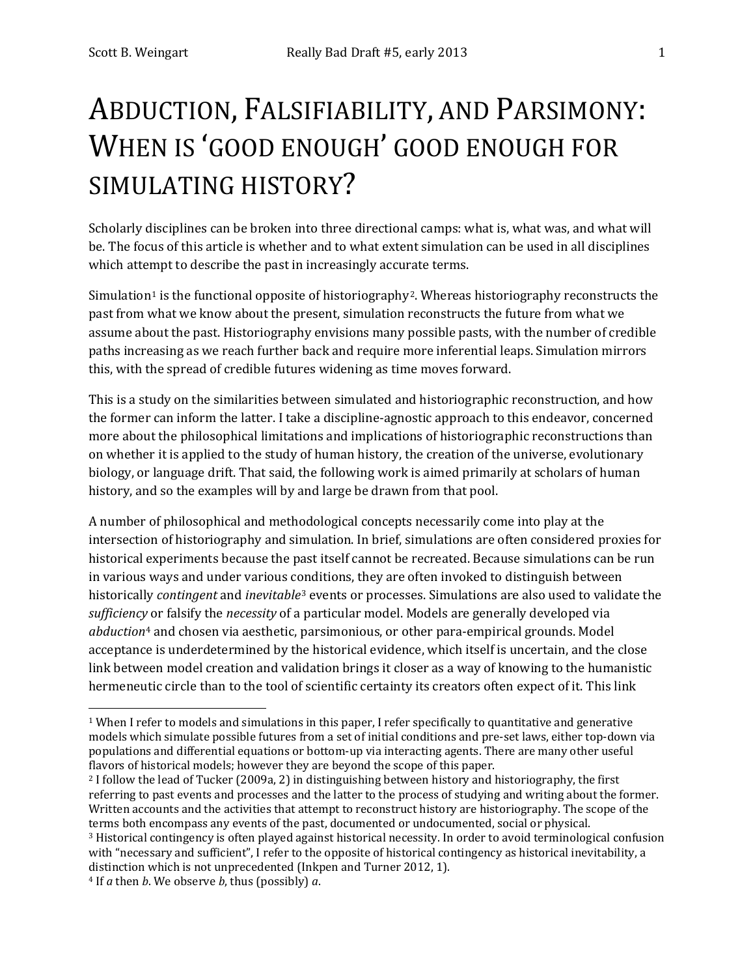# ABDUCTION, FALSIFIABILITY, AND PARSIMONY: WHEN IS 'GOOD ENOUGH' GOOD ENOUGH FOR SIMULATING HISTORY?

Scholarly disciplines can be broken into three directional camps: what is, what was, and what will be. The focus of this article is whether and to what extent simulation can be used in all disciplines which attempt to describe the past in increasingly accurate terms.

Simulation<sup>[1](#page-0-0)</sup> is the functional opposite of historiography<sup>2</sup>. Whereas historiography reconstructs the past from what we know about the present, simulation reconstructs the future from what we assume about the past. Historiography envisions many possible pasts, with the number of credible paths increasing as we reach further back and require more inferential leaps. Simulation mirrors this, with the spread of credible futures widening as time moves forward.

This is a study on the similarities between simulated and historiographic reconstruction, and how the former can inform the latter. I take a discipline-agnostic approach to this endeavor, concerned more about the philosophical limitations and implications of historiographic reconstructions than on whether it is applied to the study of human history, the creation of the universe, evolutionary biology, or language drift. That said, the following work is aimed primarily at scholars of human history, and so the examples will by and large be drawn from that pool.

A number of philosophical and methodological concepts necessarily come into play at the intersection of historiography and simulation. In brief, simulations are often considered proxies for historical experiments because the past itself cannot be recreated. Because simulations can be run in various ways and under various c[on](#page-0-2)ditions, they are often invoked to distinguish between historically *contingent* and *inevitable*<sup>3</sup> events or processes. Simulations are also used to validate the *sufficiency* or falsify the *necessity* of a particular model. Models are generally developed via *abduction*[4](#page-0-3) and chosen via aesthetic, parsimonious, or other para-empirical grounds. Model acceptance is underdetermined by the historical evidence, which itself is uncertain, and the close link between model creation and validation brings it closer as a way of knowing to the humanistic hermeneutic circle than to the tool of scientific certainty its creators often expect of it. This link

<span id="page-0-1"></span><sup>2</sup> I follow the lead of Tucker (2009a, 2) in distinguishing between history and historiography, the first referring to past events and processes and the latter to the process of studying and writing about the former. Written accounts and the activities that attempt to reconstruct history are historiography. The scope of the terms both encompass any events of the past, documented or undocumented, social or physical. <sup>3</sup> Historical contingency is often played against historical necessity. In order to avoid terminological confusion with "necessary and sufficient", I refer to the opposite of historical contingency as historical inevitability, a distinction which is not unprecedented (Inkpen and Turner 2012, 1).

<span id="page-0-0"></span> <sup>1</sup> When I refer to models and simulations in this paper, I refer specifically to quantitative and generative models which simulate possible futures from a set of initial conditions and pre-set laws, either top-down via populations and differential equations or bottom-up via interacting agents. There are many other useful flavors of historical models; however they are beyond the scope of this paper.

<span id="page-0-3"></span><span id="page-0-2"></span><sup>4</sup> If *a* then *b*. We observe *b*, thus (possibly) *a*.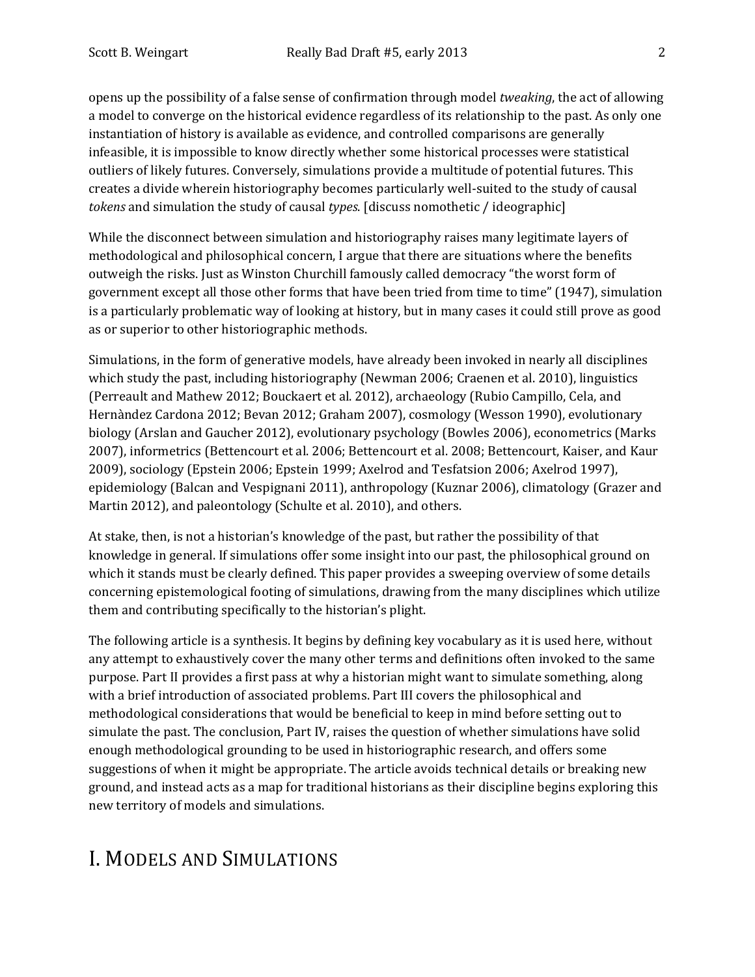opens up the possibility of a false sense of confirmation through model *tweaking*, the act of allowing a model to converge on the historical evidence regardless of its relationship to the past. As only one instantiation of history is available as evidence, and controlled comparisons are generally infeasible, it is impossible to know directly whether some historical processes were statistical outliers of likely futures. Conversely, simulations provide a multitude of potential futures. This creates a divide wherein historiography becomes particularly well-suited to the study of causal *tokens* and simulation the study of causal *types*. [discuss nomothetic / ideographic]

While the disconnect between simulation and historiography raises many legitimate layers of methodological and philosophical concern, I argue that there are situations where the benefits outweigh the risks. Just as Winston Churchill famously called democracy "the worst form of government except all those other forms that have been tried from time to time" (1947), simulation is a particularly problematic way of looking at history, but in many cases it could still prove as good as or superior to other historiographic methods.

Simulations, in the form of generative models, have already been invoked in nearly all disciplines which study the past, including historiography (Newman 2006; Craenen et al. 2010), linguistics (Perreault and Mathew 2012; Bouckaert et al. 2012), archaeology (Rubio Campillo, Cela, and Hernàndez Cardona 2012; Bevan 2012; Graham 2007), cosmology (Wesson 1990), evolutionary biology (Arslan and Gaucher 2012), evolutionary psychology (Bowles 2006), econometrics (Marks 2007), informetrics (Bettencourt et al. 2006; Bettencourt et al. 2008; Bettencourt, Kaiser, and Kaur 2009), sociology (Epstein 2006; Epstein 1999; Axelrod and Tesfatsion 2006; Axelrod 1997), epidemiology (Balcan and Vespignani 2011), anthropology (Kuznar 2006), climatology (Grazer and Martin 2012), and paleontology (Schulte et al. 2010), and others.

At stake, then, is not a historian's knowledge of the past, but rather the possibility of that knowledge in general. If simulations offer some insight into our past, the philosophical ground on which it stands must be clearly defined. This paper provides a sweeping overview of some details concerning epistemological footing of simulations, drawing from the many disciplines which utilize them and contributing specifically to the historian's plight.

The following article is a synthesis. It begins by defining key vocabulary as it is used here, without any attempt to exhaustively cover the many other terms and definitions often invoked to the same purpose. Part II provides a first pass at why a historian might want to simulate something, along with a brief introduction of associated problems. Part III covers the philosophical and methodological considerations that would be beneficial to keep in mind before setting out to simulate the past. The conclusion, Part IV, raises the question of whether simulations have solid enough methodological grounding to be used in historiographic research, and offers some suggestions of when it might be appropriate. The article avoids technical details or breaking new ground, and instead acts as a map for traditional historians as their discipline begins exploring this new territory of models and simulations.

## I. MODELS AND SIMULATIONS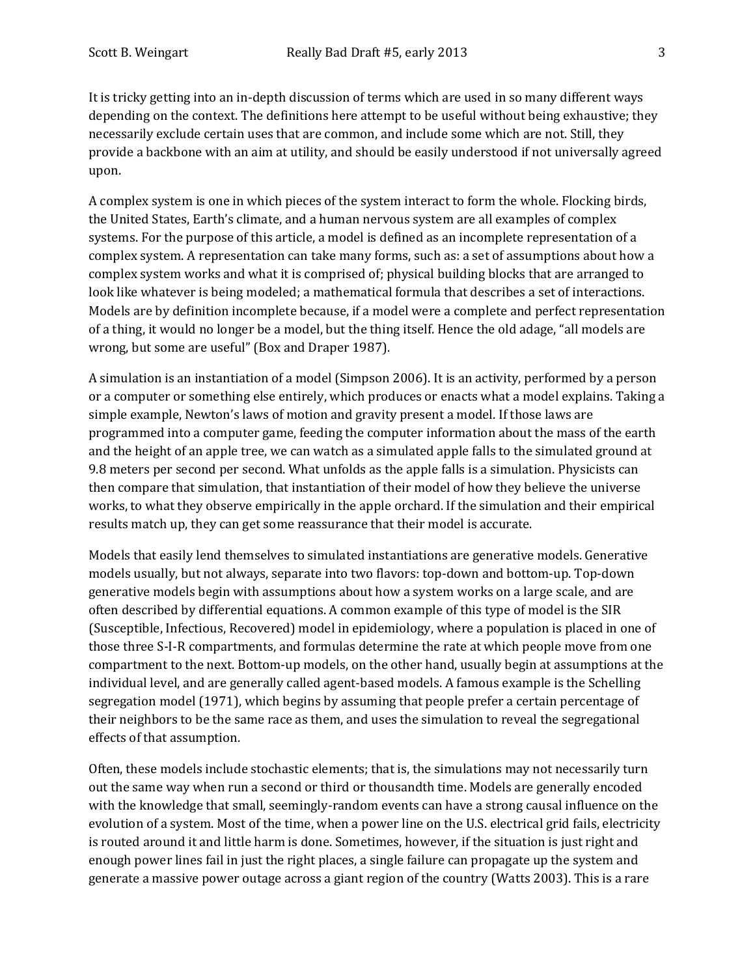It is tricky getting into an in-depth discussion of terms which are used in so many different ways depending on the context. The definitions here attempt to be useful without being exhaustive; they necessarily exclude certain uses that are common, and include some which are not. Still, they provide a backbone with an aim at utility, and should be easily understood if not universally agreed upon.

A complex system is one in which pieces of the system interact to form the whole. Flocking birds, the United States, Earth's climate, and a human nervous system are all examples of complex systems. For the purpose of this article, a model is defined as an incomplete representation of a complex system. A representation can take many forms, such as: a set of assumptions about how a complex system works and what it is comprised of; physical building blocks that are arranged to look like whatever is being modeled; a mathematical formula that describes a set of interactions. Models are by definition incomplete because, if a model were a complete and perfect representation of a thing, it would no longer be a model, but the thing itself. Hence the old adage, "all models are wrong, but some are useful" (Box and Draper 1987).

A simulation is an instantiation of a model (Simpson 2006). It is an activity, performed by a person or a computer or something else entirely, which produces or enacts what a model explains. Taking a simple example, Newton's laws of motion and gravity present a model. If those laws are programmed into a computer game, feeding the computer information about the mass of the earth and the height of an apple tree, we can watch as a simulated apple falls to the simulated ground at 9.8 meters per second per second. What unfolds as the apple falls is a simulation. Physicists can then compare that simulation, that instantiation of their model of how they believe the universe works, to what they observe empirically in the apple orchard. If the simulation and their empirical results match up, they can get some reassurance that their model is accurate.

Models that easily lend themselves to simulated instantiations are generative models. Generative models usually, but not always, separate into two flavors: top-down and bottom-up. Top-down generative models begin with assumptions about how a system works on a large scale, and are often described by differential equations. A common example of this type of model is the SIR (Susceptible, Infectious, Recovered) model in epidemiology, where a population is placed in one of those three S-I-R compartments, and formulas determine the rate at which people move from one compartment to the next. Bottom-up models, on the other hand, usually begin at assumptions at the individual level, and are generally called agent-based models. A famous example is the Schelling segregation model (1971), which begins by assuming that people prefer a certain percentage of their neighbors to be the same race as them, and uses the simulation to reveal the segregational effects of that assumption.

Often, these models include stochastic elements; that is, the simulations may not necessarily turn out the same way when run a second or third or thousandth time. Models are generally encoded with the knowledge that small, seemingly-random events can have a strong causal influence on the evolution of a system. Most of the time, when a power line on the U.S. electrical grid fails, electricity is routed around it and little harm is done. Sometimes, however, if the situation is just right and enough power lines fail in just the right places, a single failure can propagate up the system and generate a massive power outage across a giant region of the country (Watts 2003). This is a rare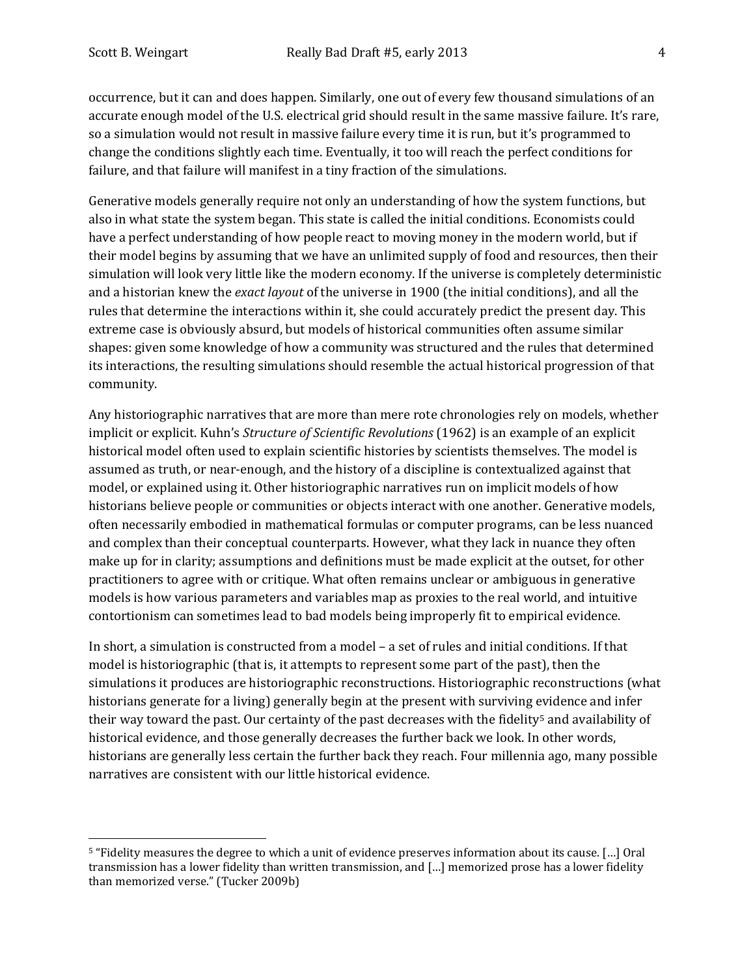occurrence, but it can and does happen. Similarly, one out of every few thousand simulations of an accurate enough model of the U.S. electrical grid should result in the same massive failure. It's rare, so a simulation would not result in massive failure every time it is run, but it's programmed to change the conditions slightly each time. Eventually, it too will reach the perfect conditions for failure, and that failure will manifest in a tiny fraction of the simulations.

Generative models generally require not only an understanding of how the system functions, but also in what state the system began. This state is called the initial conditions. Economists could have a perfect understanding of how people react to moving money in the modern world, but if their model begins by assuming that we have an unlimited supply of food and resources, then their simulation will look very little like the modern economy. If the universe is completely deterministic and a historian knew the *exact layout* of the universe in 1900 (the initial conditions), and all the rules that determine the interactions within it, she could accurately predict the present day. This extreme case is obviously absurd, but models of historical communities often assume similar shapes: given some knowledge of how a community was structured and the rules that determined its interactions, the resulting simulations should resemble the actual historical progression of that community.

Any historiographic narratives that are more than mere rote chronologies rely on models, whether implicit or explicit. Kuhn's *Structure of Scientific Revolutions* (1962) is an example of an explicit historical model often used to explain scientific histories by scientists themselves. The model is assumed as truth, or near-enough, and the history of a discipline is contextualized against that model, or explained using it. Other historiographic narratives run on implicit models of how historians believe people or communities or objects interact with one another. Generative models, often necessarily embodied in mathematical formulas or computer programs, can be less nuanced and complex than their conceptual counterparts. However, what they lack in nuance they often make up for in clarity; assumptions and definitions must be made explicit at the outset, for other practitioners to agree with or critique. What often remains unclear or ambiguous in generative models is how various parameters and variables map as proxies to the real world, and intuitive contortionism can sometimes lead to bad models being improperly fit to empirical evidence.

In short, a simulation is constructed from a model – a set of rules and initial conditions. If that model is historiographic (that is, it attempts to represent some part of the past), then the simulations it produces are historiographic reconstructions. Historiographic reconstructions (what historians generate for a living) generally begin at the present with surviving evidence and infer their way toward the past. Our certainty of the past decreases with the fidelity<sup>[5](#page-3-0)</sup> and availability of historical evidence, and those generally decreases the further back we look. In other words, historians are generally less certain the further back they reach. Four millennia ago, many possible narratives are consistent with our little historical evidence.

<span id="page-3-0"></span> <sup>5</sup> "Fidelity measures the degree to which a unit of evidence preserves information about its cause. […] Oral transmission has a lower fidelity than written transmission, and […] memorized prose has a lower fidelity than memorized verse." (Tucker 2009b)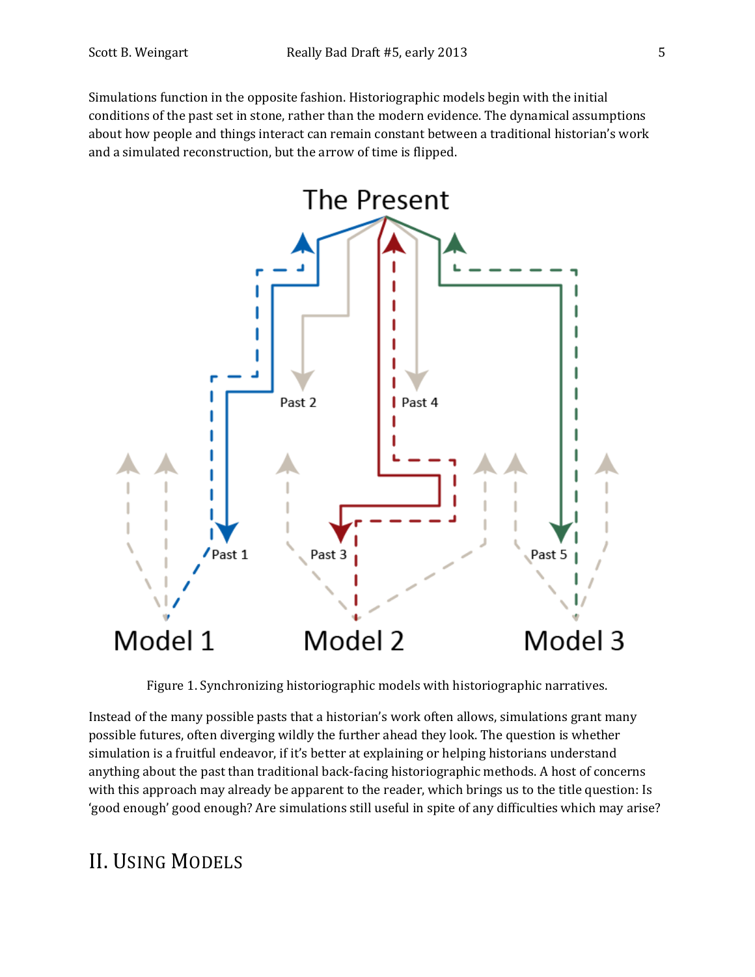Simulations function in the opposite fashion. Historiographic models begin with the initial conditions of the past set in stone, rather than the modern evidence. The dynamical assumptions about how people and things interact can remain constant between a traditional historian's work and a simulated reconstruction, but the arrow of time is flipped.



Figure 1. Synchronizing historiographic models with historiographic narratives.

Instead of the many possible pasts that a historian's work often allows, simulations grant many possible futures, often diverging wildly the further ahead they look. The question is whether simulation is a fruitful endeavor, if it's better at explaining or helping historians understand anything about the past than traditional back-facing historiographic methods. A host of concerns with this approach may already be apparent to the reader, which brings us to the title question: Is 'good enough' good enough? Are simulations still useful in spite of any difficulties which may arise?

### II. USING MODELS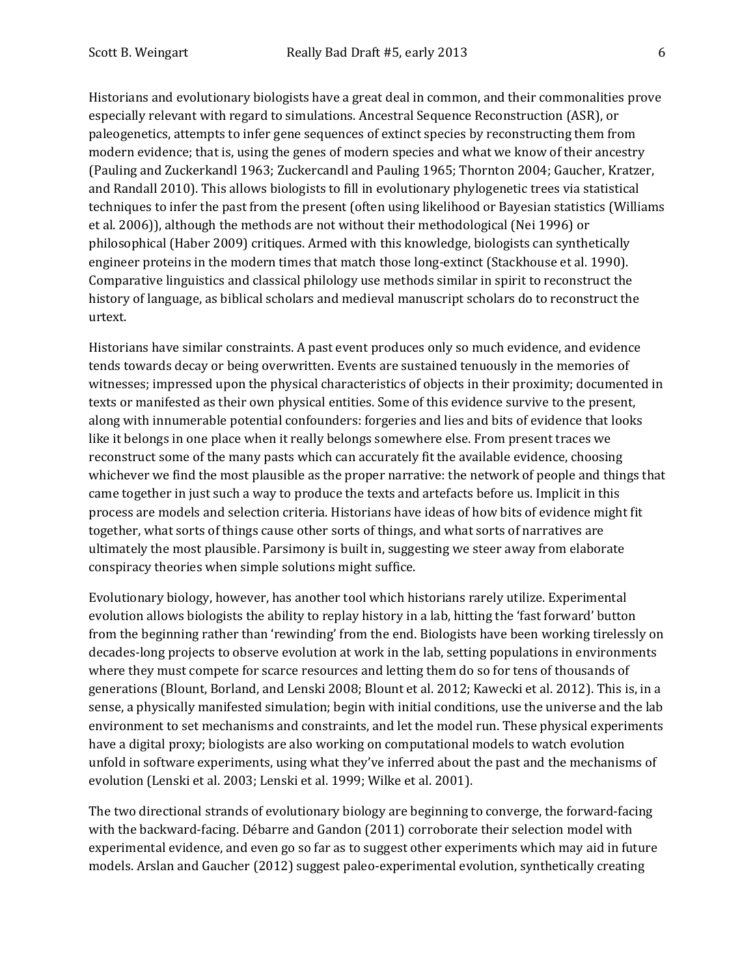Historians and evolutionary biologists have a great deal in common, and their commonalities prove especially relevant with regard to simulations. Ancestral Sequence Reconstruction (ASR), or paleogenetics, attempts to infer gene sequences of extinct species by reconstructing them from modern evidence; that is, using the genes of modern species and what we know of their ancestry (Pauling and Zuckerkandl 1963; Zuckercandl and Pauling 1965; Thornton 2004; Gaucher, Kratzer, and Randall 2010). This allows biologists to fill in evolutionary phylogenetic trees via statistical techniques to infer the past from the present (often using likelihood or Bayesian statistics (Williams et al. 2006)), although the methods are not without their methodological (Nei 1996) or philosophical (Haber 2009) critiques. Armed with this knowledge, biologists can synthetically engineer proteins in the modern times that match those long-extinct (Stackhouse et al. 1990). Comparative linguistics and classical philology use methods similar in spirit to reconstruct the history of language, as biblical scholars and medieval manuscript scholars do to reconstruct the urtext.

Historians have similar constraints. A past event produces only so much evidence, and evidence tends towards decay or being overwritten. Events are sustained tenuously in the memories of witnesses; impressed upon the physical characteristics of objects in their proximity; documented in texts or manifested as their own physical entities. Some of this evidence survive to the present, along with innumerable potential confounders: forgeries and lies and bits of evidence that looks like it belongs in one place when it really belongs somewhere else. From present traces we reconstruct some of the many pasts which can accurately fit the available evidence, choosing whichever we find the most plausible as the proper narrative: the network of people and things that came together in just such a way to produce the texts and artefacts before us. Implicit in this process are models and selection criteria. Historians have ideas of how bits of evidence might fit together, what sorts of things cause other sorts of things, and what sorts of narratives are ultimately the most plausible. Parsimony is built in, suggesting we steer away from elaborate conspiracy theories when simple solutions might suffice.

Evolutionary biology, however, has another tool which historians rarely utilize. Experimental evolution allows biologists the ability to replay history in a lab, hitting the 'fast forward' button from the beginning rather than 'rewinding' from the end. Biologists have been working tirelessly on decades-long projects to observe evolution at work in the lab, setting populations in environments where they must compete for scarce resources and letting them do so for tens of thousands of generations (Blount, Borland, and Lenski 2008; Blount et al. 2012; Kawecki et al. 2012). This is, in a sense, a physically manifested simulation; begin with initial conditions, use the universe and the lab environment to set mechanisms and constraints, and let the model run. These physical experiments have a digital proxy; biologists are also working on computational models to watch evolution unfold in software experiments, using what they've inferred about the past and the mechanisms of evolution (Lenski et al. 2003; Lenski et al. 1999; Wilke et al. 2001).

The two directional strands of evolutionary biology are beginning to converge, the forward-facing with the backward-facing. Débarre and Gandon (2011) corroborate their selection model with experimental evidence, and even go so far as to suggest other experiments which may aid in future models. Arslan and Gaucher (2012) suggest paleo-experimental evolution, synthetically creating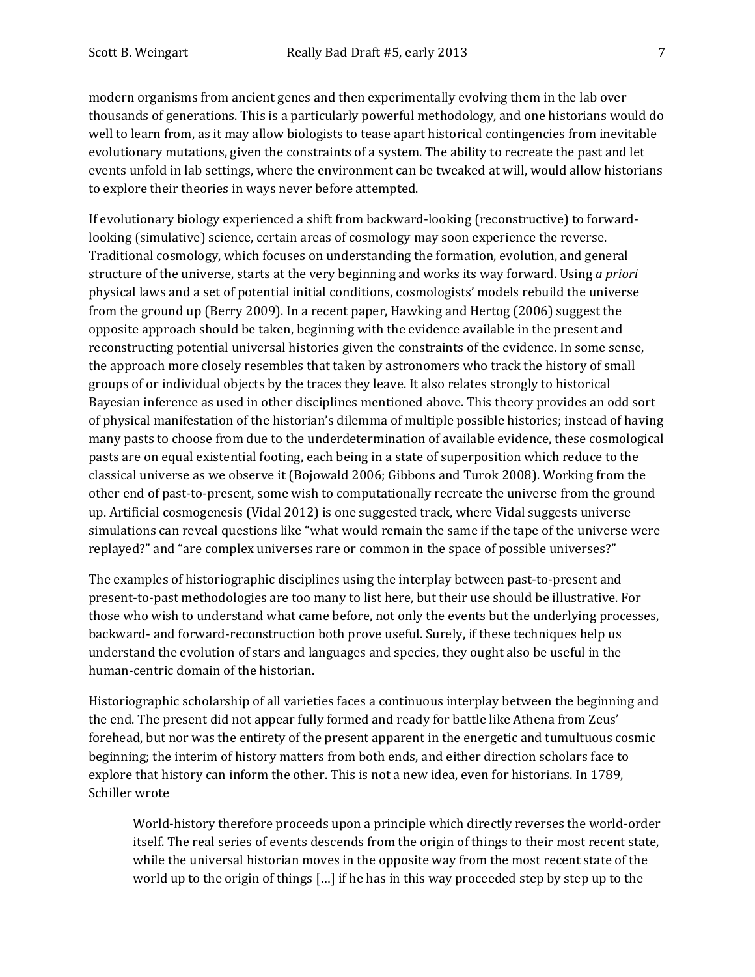modern organisms from ancient genes and then experimentally evolving them in the lab over thousands of generations. This is a particularly powerful methodology, and one historians would do well to learn from, as it may allow biologists to tease apart historical contingencies from inevitable evolutionary mutations, given the constraints of a system. The ability to recreate the past and let events unfold in lab settings, where the environment can be tweaked at will, would allow historians to explore their theories in ways never before attempted.

If evolutionary biology experienced a shift from backward-looking (reconstructive) to forwardlooking (simulative) science, certain areas of cosmology may soon experience the reverse. Traditional cosmology, which focuses on understanding the formation, evolution, and general structure of the universe, starts at the very beginning and works its way forward. Using *a priori* physical laws and a set of potential initial conditions, cosmologists' models rebuild the universe from the ground up (Berry 2009). In a recent paper, Hawking and Hertog (2006) suggest the opposite approach should be taken, beginning with the evidence available in the present and reconstructing potential universal histories given the constraints of the evidence. In some sense, the approach more closely resembles that taken by astronomers who track the history of small groups of or individual objects by the traces they leave. It also relates strongly to historical Bayesian inference as used in other disciplines mentioned above. This theory provides an odd sort of physical manifestation of the historian's dilemma of multiple possible histories; instead of having many pasts to choose from due to the underdetermination of available evidence, these cosmological pasts are on equal existential footing, each being in a state of superposition which reduce to the classical universe as we observe it (Bojowald 2006; Gibbons and Turok 2008). Working from the other end of past-to-present, some wish to computationally recreate the universe from the ground up. Artificial cosmogenesis (Vidal 2012) is one suggested track, where Vidal suggests universe simulations can reveal questions like "what would remain the same if the tape of the universe were replayed?" and "are complex universes rare or common in the space of possible universes?"

The examples of historiographic disciplines using the interplay between past-to-present and present-to-past methodologies are too many to list here, but their use should be illustrative. For those who wish to understand what came before, not only the events but the underlying processes, backward- and forward-reconstruction both prove useful. Surely, if these techniques help us understand the evolution of stars and languages and species, they ought also be useful in the human-centric domain of the historian.

Historiographic scholarship of all varieties faces a continuous interplay between the beginning and the end. The present did not appear fully formed and ready for battle like Athena from Zeus' forehead, but nor was the entirety of the present apparent in the energetic and tumultuous cosmic beginning; the interim of history matters from both ends, and either direction scholars face to explore that history can inform the other. This is not a new idea, even for historians. In 1789, Schiller wrote

World-history therefore proceeds upon a principle which directly reverses the world-order itself. The real series of events descends from the origin of things to their most recent state, while the universal historian moves in the opposite way from the most recent state of the world up to the origin of things […] if he has in this way proceeded step by step up to the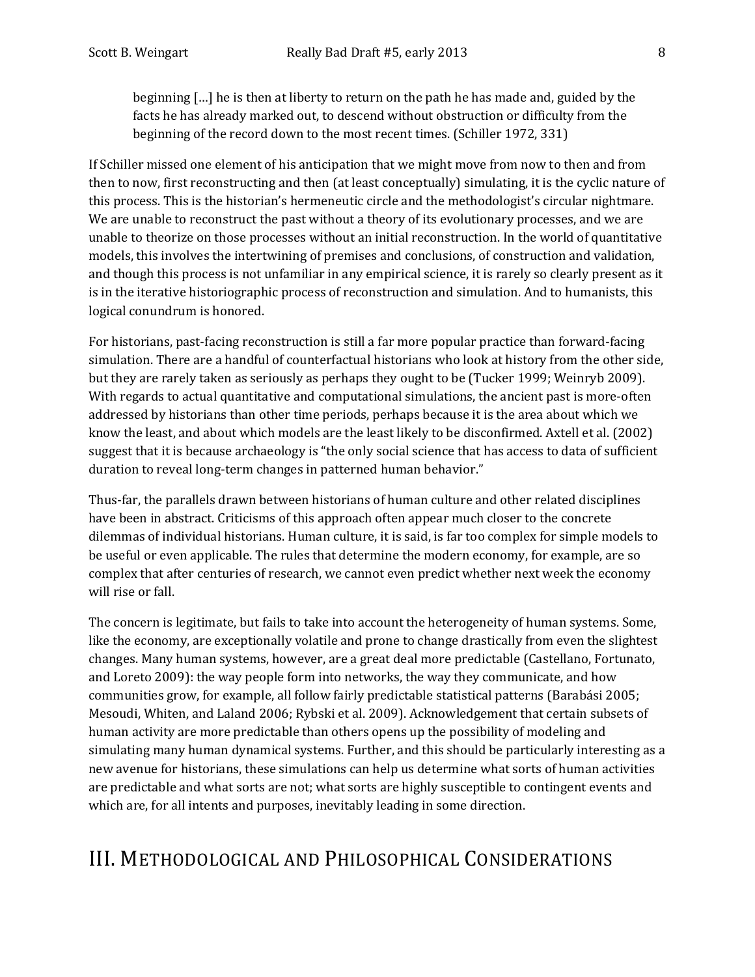beginning […] he is then at liberty to return on the path he has made and, guided by the facts he has already marked out, to descend without obstruction or difficulty from the beginning of the record down to the most recent times. (Schiller 1972, 331)

If Schiller missed one element of his anticipation that we might move from now to then and from then to now, first reconstructing and then (at least conceptually) simulating, it is the cyclic nature of this process. This is the historian's hermeneutic circle and the methodologist's circular nightmare. We are unable to reconstruct the past without a theory of its evolutionary processes, and we are unable to theorize on those processes without an initial reconstruction. In the world of quantitative models, this involves the intertwining of premises and conclusions, of construction and validation, and though this process is not unfamiliar in any empirical science, it is rarely so clearly present as it is in the iterative historiographic process of reconstruction and simulation. And to humanists, this logical conundrum is honored.

For historians, past-facing reconstruction is still a far more popular practice than forward-facing simulation. There are a handful of counterfactual historians who look at history from the other side, but they are rarely taken as seriously as perhaps they ought to be (Tucker 1999; Weinryb 2009). With regards to actual quantitative and computational simulations, the ancient past is more-often addressed by historians than other time periods, perhaps because it is the area about which we know the least, and about which models are the least likely to be disconfirmed. Axtell et al. (2002) suggest that it is because archaeology is "the only social science that has access to data of sufficient duration to reveal long-term changes in patterned human behavior."

Thus-far, the parallels drawn between historians of human culture and other related disciplines have been in abstract. Criticisms of this approach often appear much closer to the concrete dilemmas of individual historians. Human culture, it is said, is far too complex for simple models to be useful or even applicable. The rules that determine the modern economy, for example, are so complex that after centuries of research, we cannot even predict whether next week the economy will rise or fall.

The concern is legitimate, but fails to take into account the heterogeneity of human systems. Some, like the economy, are exceptionally volatile and prone to change drastically from even the slightest changes. Many human systems, however, are a great deal more predictable (Castellano, Fortunato, and Loreto 2009): the way people form into networks, the way they communicate, and how communities grow, for example, all follow fairly predictable statistical patterns (Barabási 2005; Mesoudi, Whiten, and Laland 2006; Rybski et al. 2009). Acknowledgement that certain subsets of human activity are more predictable than others opens up the possibility of modeling and simulating many human dynamical systems. Further, and this should be particularly interesting as a new avenue for historians, these simulations can help us determine what sorts of human activities are predictable and what sorts are not; what sorts are highly susceptible to contingent events and which are, for all intents and purposes, inevitably leading in some direction.

### III. METHODOLOGICAL AND PHILOSOPHICAL CONSIDERATIONS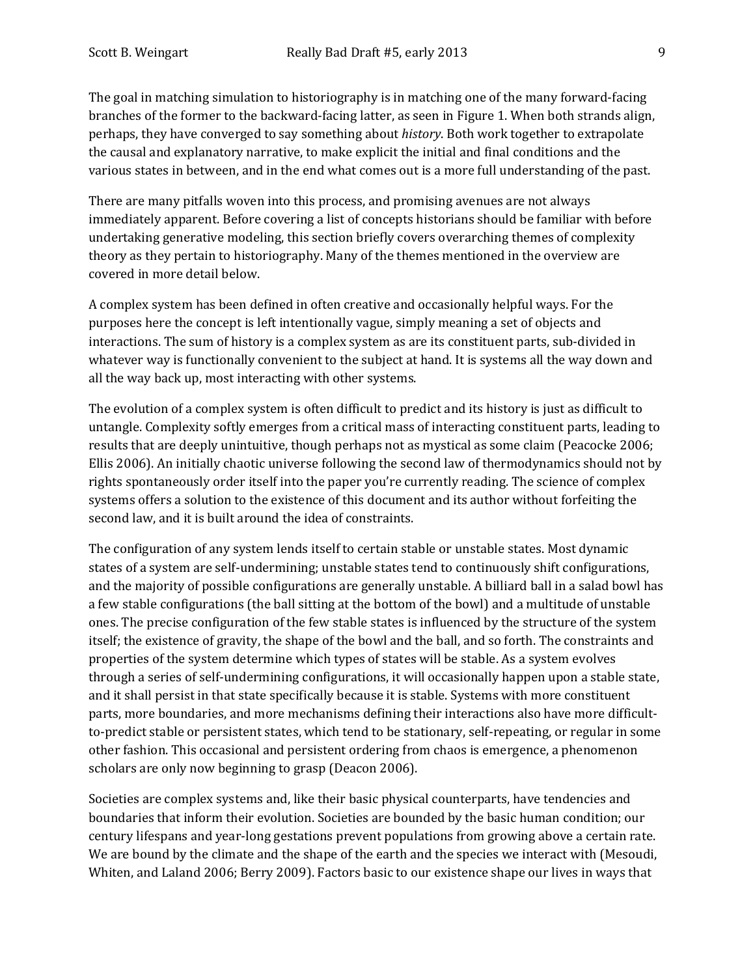The goal in matching simulation to historiography is in matching one of the many forward-facing branches of the former to the backward-facing latter, as seen in Figure 1. When both strands align, perhaps, they have converged to say something about *history*. Both work together to extrapolate the causal and explanatory narrative, to make explicit the initial and final conditions and the various states in between, and in the end what comes out is a more full understanding of the past.

There are many pitfalls woven into this process, and promising avenues are not always immediately apparent. Before covering a list of concepts historians should be familiar with before undertaking generative modeling, this section briefly covers overarching themes of complexity theory as they pertain to historiography. Many of the themes mentioned in the overview are covered in more detail below.

A complex system has been defined in often creative and occasionally helpful ways. For the purposes here the concept is left intentionally vague, simply meaning a set of objects and interactions. The sum of history is a complex system as are its constituent parts, sub-divided in whatever way is functionally convenient to the subject at hand. It is systems all the way down and all the way back up, most interacting with other systems.

The evolution of a complex system is often difficult to predict and its history is just as difficult to untangle. Complexity softly emerges from a critical mass of interacting constituent parts, leading to results that are deeply unintuitive, though perhaps not as mystical as some claim (Peacocke 2006; Ellis 2006). An initially chaotic universe following the second law of thermodynamics should not by rights spontaneously order itself into the paper you're currently reading. The science of complex systems offers a solution to the existence of this document and its author without forfeiting the second law, and it is built around the idea of constraints.

The configuration of any system lends itself to certain stable or unstable states. Most dynamic states of a system are self-undermining; unstable states tend to continuously shift configurations, and the majority of possible configurations are generally unstable. A billiard ball in a salad bowl has a few stable configurations (the ball sitting at the bottom of the bowl) and a multitude of unstable ones. The precise configuration of the few stable states is influenced by the structure of the system itself; the existence of gravity, the shape of the bowl and the ball, and so forth. The constraints and properties of the system determine which types of states will be stable. As a system evolves through a series of self-undermining configurations, it will occasionally happen upon a stable state, and it shall persist in that state specifically because it is stable. Systems with more constituent parts, more boundaries, and more mechanisms defining their interactions also have more difficultto-predict stable or persistent states, which tend to be stationary, self-repeating, or regular in some other fashion. This occasional and persistent ordering from chaos is emergence, a phenomenon scholars are only now beginning to grasp (Deacon 2006).

Societies are complex systems and, like their basic physical counterparts, have tendencies and boundaries that inform their evolution. Societies are bounded by the basic human condition; our century lifespans and year-long gestations prevent populations from growing above a certain rate. We are bound by the climate and the shape of the earth and the species we interact with (Mesoudi, Whiten, and Laland 2006; Berry 2009). Factors basic to our existence shape our lives in ways that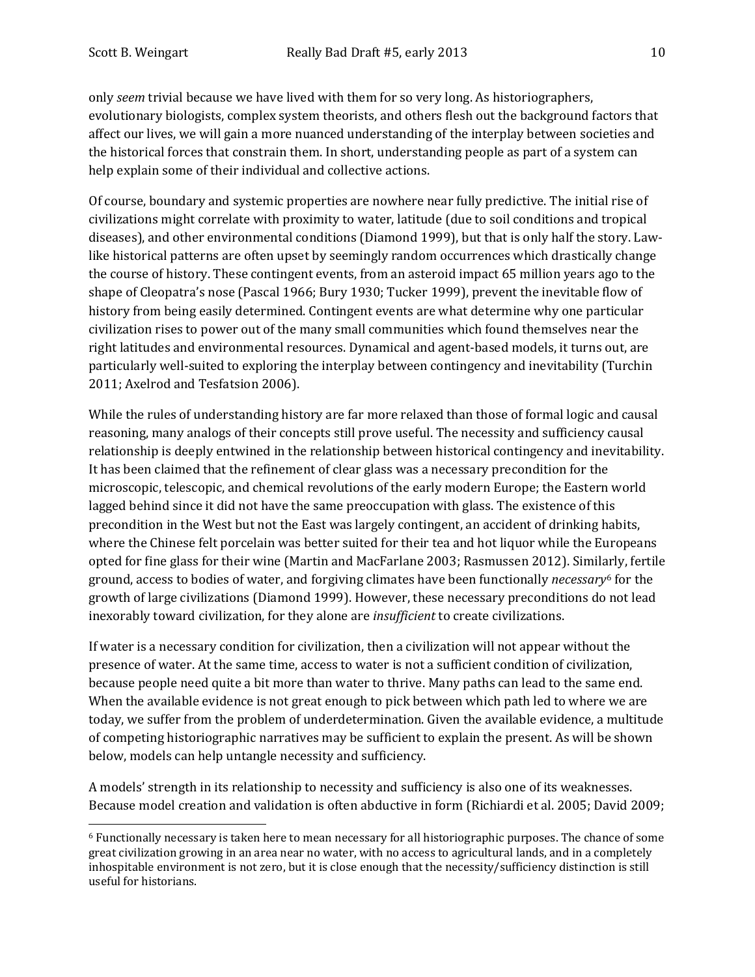only *seem* trivial because we have lived with them for so very long. As historiographers, evolutionary biologists, complex system theorists, and others flesh out the background factors that affect our lives, we will gain a more nuanced understanding of the interplay between societies and the historical forces that constrain them. In short, understanding people as part of a system can help explain some of their individual and collective actions.

Of course, boundary and systemic properties are nowhere near fully predictive. The initial rise of civilizations might correlate with proximity to water, latitude (due to soil conditions and tropical diseases), and other environmental conditions (Diamond 1999), but that is only half the story. Lawlike historical patterns are often upset by seemingly random occurrences which drastically change the course of history. These contingent events, from an asteroid impact 65 million years ago to the shape of Cleopatra's nose (Pascal 1966; Bury 1930; Tucker 1999), prevent the inevitable flow of history from being easily determined. Contingent events are what determine why one particular civilization rises to power out of the many small communities which found themselves near the right latitudes and environmental resources. Dynamical and agent-based models, it turns out, are particularly well-suited to exploring the interplay between contingency and inevitability (Turchin 2011; Axelrod and Tesfatsion 2006).

While the rules of understanding history are far more relaxed than those of formal logic and causal reasoning, many analogs of their concepts still prove useful. The necessity and sufficiency causal relationship is deeply entwined in the relationship between historical contingency and inevitability. It has been claimed that the refinement of clear glass was a necessary precondition for the microscopic, telescopic, and chemical revolutions of the early modern Europe; the Eastern world lagged behind since it did not have the same preoccupation with glass. The existence of this precondition in the West but not the East was largely contingent, an accident of drinking habits, where the Chinese felt porcelain was better suited for their tea and hot liquor while the Europeans opted for fine glass for their wine (Martin and MacFarlane 2003; Rasmussen 2012). Simil[ar](#page-9-0)ly, fertile ground, access to bodies of water, and forgiving climates have been functionally *necessary*<sup>6</sup> for the growth of large civilizations (Diamond 1999). However, these necessary preconditions do not lead inexorably toward civilization, for they alone are *insufficient* to create civilizations.

If water is a necessary condition for civilization, then a civilization will not appear without the presence of water. At the same time, access to water is not a sufficient condition of civilization, because people need quite a bit more than water to thrive. Many paths can lead to the same end. When the available evidence is not great enough to pick between which path led to where we are today, we suffer from the problem of underdetermination. Given the available evidence, a multitude of competing historiographic narratives may be sufficient to explain the present. As will be shown below, models can help untangle necessity and sufficiency.

A models' strength in its relationship to necessity and sufficiency is also one of its weaknesses. Because model creation and validation is often abductive in form (Richiardi et al. 2005; David 2009;

<span id="page-9-0"></span> <sup>6</sup> Functionally necessary is taken here to mean necessary for all historiographic purposes. The chance of some great civilization growing in an area near no water, with no access to agricultural lands, and in a completely inhospitable environment is not zero, but it is close enough that the necessity/sufficiency distinction is still useful for historians.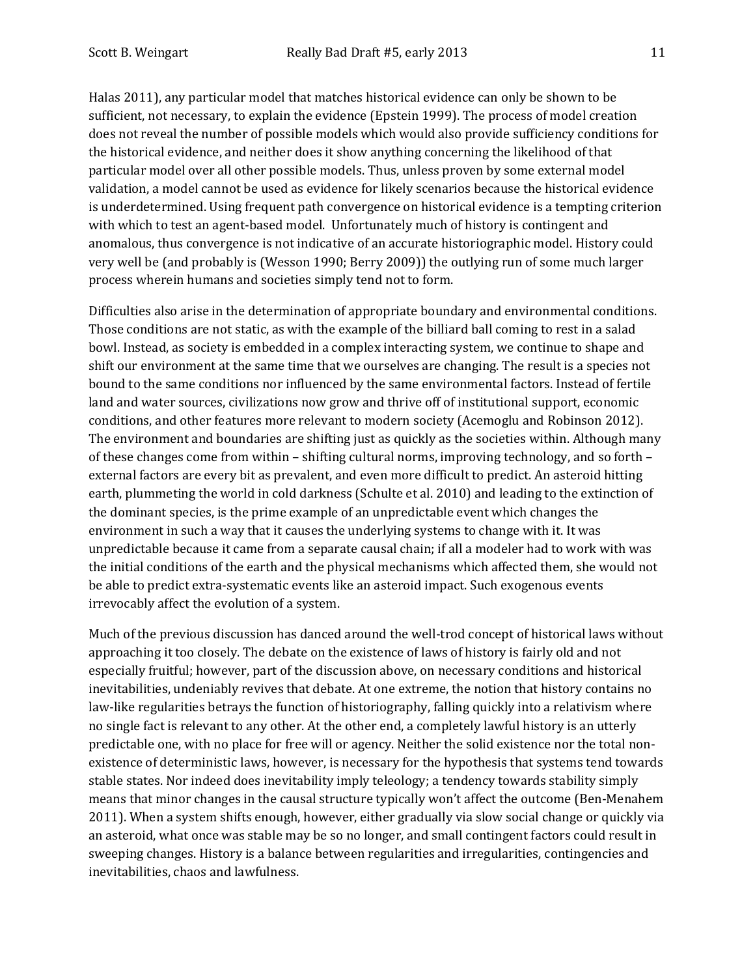Halas 2011), any particular model that matches historical evidence can only be shown to be sufficient, not necessary, to explain the evidence (Epstein 1999). The process of model creation does not reveal the number of possible models which would also provide sufficiency conditions for the historical evidence, and neither does it show anything concerning the likelihood of that particular model over all other possible models. Thus, unless proven by some external model validation, a model cannot be used as evidence for likely scenarios because the historical evidence is underdetermined. Using frequent path convergence on historical evidence is a tempting criterion with which to test an agent-based model. Unfortunately much of history is contingent and anomalous, thus convergence is not indicative of an accurate historiographic model. History could very well be (and probably is (Wesson 1990; Berry 2009)) the outlying run of some much larger process wherein humans and societies simply tend not to form.

Difficulties also arise in the determination of appropriate boundary and environmental conditions. Those conditions are not static, as with the example of the billiard ball coming to rest in a salad bowl. Instead, as society is embedded in a complex interacting system, we continue to shape and shift our environment at the same time that we ourselves are changing. The result is a species not bound to the same conditions nor influenced by the same environmental factors. Instead of fertile land and water sources, civilizations now grow and thrive off of institutional support, economic conditions, and other features more relevant to modern society (Acemoglu and Robinson 2012). The environment and boundaries are shifting just as quickly as the societies within. Although many of these changes come from within – shifting cultural norms, improving technology, and so forth – external factors are every bit as prevalent, and even more difficult to predict. An asteroid hitting earth, plummeting the world in cold darkness (Schulte et al. 2010) and leading to the extinction of the dominant species, is the prime example of an unpredictable event which changes the environment in such a way that it causes the underlying systems to change with it. It was unpredictable because it came from a separate causal chain; if all a modeler had to work with was the initial conditions of the earth and the physical mechanisms which affected them, she would not be able to predict extra-systematic events like an asteroid impact. Such exogenous events irrevocably affect the evolution of a system.

Much of the previous discussion has danced around the well-trod concept of historical laws without approaching it too closely. The debate on the existence of laws of history is fairly old and not especially fruitful; however, part of the discussion above, on necessary conditions and historical inevitabilities, undeniably revives that debate. At one extreme, the notion that history contains no law-like regularities betrays the function of historiography, falling quickly into a relativism where no single fact is relevant to any other. At the other end, a completely lawful history is an utterly predictable one, with no place for free will or agency. Neither the solid existence nor the total nonexistence of deterministic laws, however, is necessary for the hypothesis that systems tend towards stable states. Nor indeed does inevitability imply teleology; a tendency towards stability simply means that minor changes in the causal structure typically won't affect the outcome (Ben-Menahem 2011). When a system shifts enough, however, either gradually via slow social change or quickly via an asteroid, what once was stable may be so no longer, and small contingent factors could result in sweeping changes. History is a balance between regularities and irregularities, contingencies and inevitabilities, chaos and lawfulness.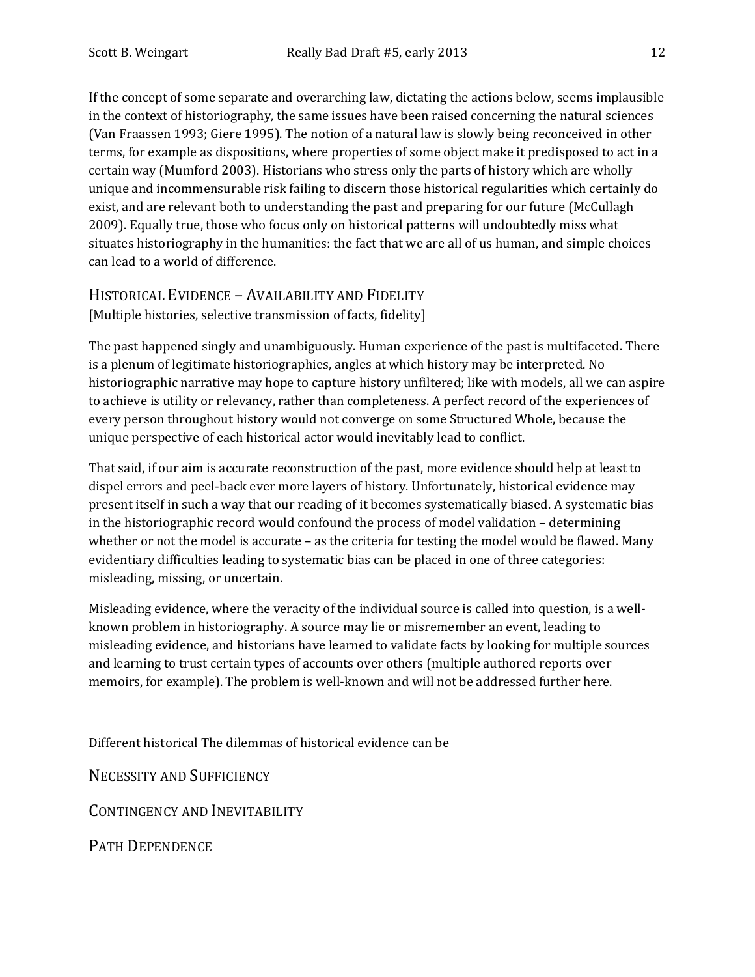If the concept of some separate and overarching law, dictating the actions below, seems implausible in the context of historiography, the same issues have been raised concerning the natural sciences (Van Fraassen 1993; Giere 1995). The notion of a natural law is slowly being reconceived in other terms, for example as dispositions, where properties of some object make it predisposed to act in a certain way (Mumford 2003). Historians who stress only the parts of history which are wholly unique and incommensurable risk failing to discern those historical regularities which certainly do exist, and are relevant both to understanding the past and preparing for our future (McCullagh 2009). Equally true, those who focus only on historical patterns will undoubtedly miss what situates historiography in the humanities: the fact that we are all of us human, and simple choices can lead to a world of difference.

#### HISTORICAL EVIDENCE – AVAILABILITY AND FIDELITY [Multiple histories, selective transmission of facts, fidelity]

The past happened singly and unambiguously. Human experience of the past is multifaceted. There is a plenum of legitimate historiographies, angles at which history may be interpreted. No historiographic narrative may hope to capture history unfiltered; like with models, all we can aspire to achieve is utility or relevancy, rather than completeness. A perfect record of the experiences of every person throughout history would not converge on some Structured Whole, because the unique perspective of each historical actor would inevitably lead to conflict.

That said, if our aim is accurate reconstruction of the past, more evidence should help at least to dispel errors and peel-back ever more layers of history. Unfortunately, historical evidence may present itself in such a way that our reading of it becomes systematically biased. A systematic bias in the historiographic record would confound the process of model validation – determining whether or not the model is accurate – as the criteria for testing the model would be flawed. Many evidentiary difficulties leading to systematic bias can be placed in one of three categories: misleading, missing, or uncertain.

Misleading evidence, where the veracity of the individual source is called into question, is a wellknown problem in historiography. A source may lie or misremember an event, leading to misleading evidence, and historians have learned to validate facts by looking for multiple sources and learning to trust certain types of accounts over others (multiple authored reports over memoirs, for example). The problem is well-known and will not be addressed further here.

Different historical The dilemmas of historical evidence can be

NECESSITY AND SUFFICIENCY

CONTINGENCY AND INEVITABILITY

PATH DEPENDENCE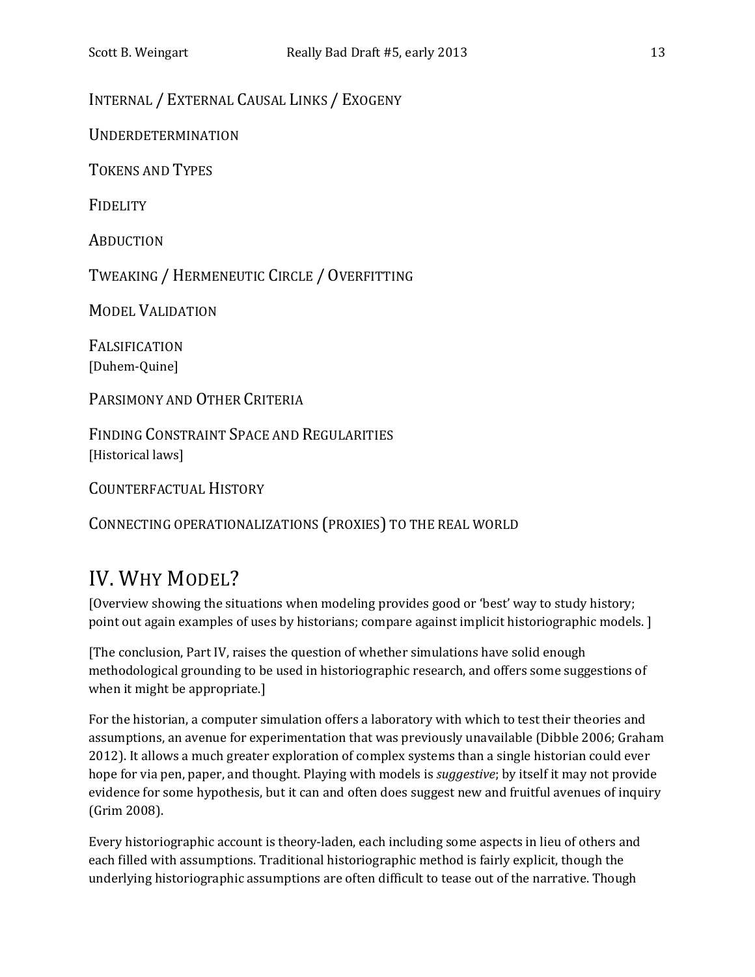INTERNAL / EXTERNAL CAUSAL LINKS / EXOGENY

UNDERDETERMINATION

TOKENS AND TYPES

**FIDELITY** 

**ABDUCTION** 

TWEAKING /HERMENEUTIC CIRCLE / OVERFITTING

MODEL VALIDATION

FALSIFICATION [Duhem-Quine]

PARSIMONY AND OTHER CRITERIA

FINDING CONSTRAINT SPACE AND REGULARITIES [Historical laws]

COUNTERFACTUAL HISTORY

CONNECTING OPERATIONALIZATIONS (PROXIES) TO THE REAL WORLD

# IV. WHY MODEL?

[Overview showing the situations when modeling provides good or 'best' way to study history; point out again examples of uses by historians; compare against implicit historiographic models. ]

[The conclusion, Part IV, raises the question of whether simulations have solid enough methodological grounding to be used in historiographic research, and offers some suggestions of when it might be appropriate.]

For the historian, a computer simulation offers a laboratory with which to test their theories and assumptions, an avenue for experimentation that was previously unavailable (Dibble 2006; Graham 2012). It allows a much greater exploration of complex systems than a single historian could ever hope for via pen, paper, and thought. Playing with models is *suggestive*; by itself it may not provide evidence for some hypothesis, but it can and often does suggest new and fruitful avenues of inquiry (Grim 2008).

Every historiographic account is theory-laden, each including some aspects in lieu of others and each filled with assumptions. Traditional historiographic method is fairly explicit, though the underlying historiographic assumptions are often difficult to tease out of the narrative. Though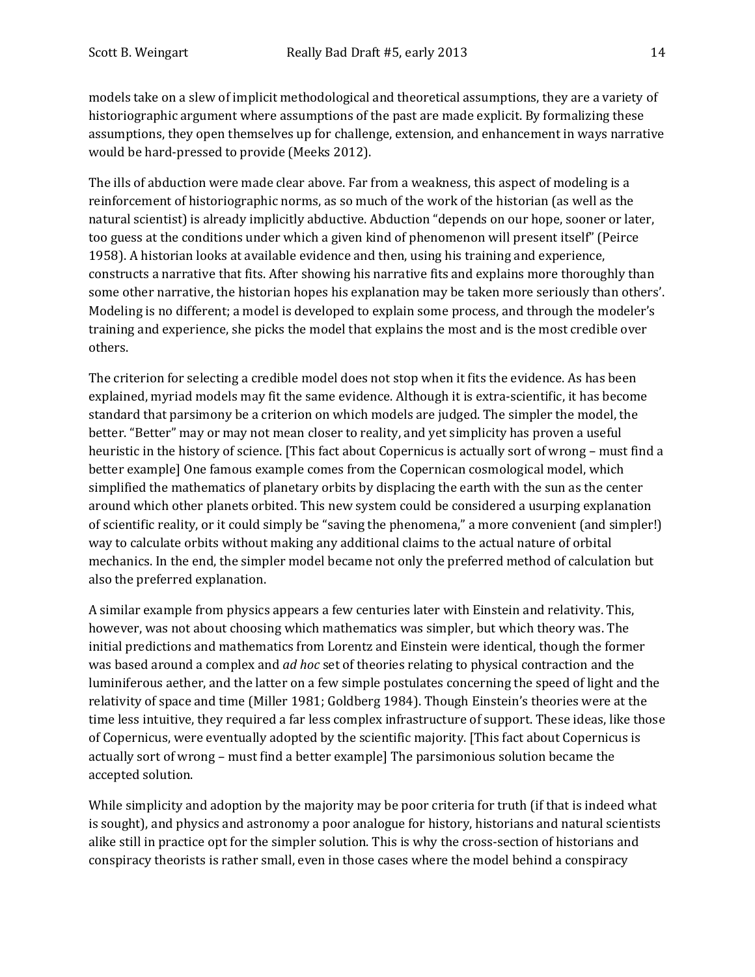models take on a slew of implicit methodological and theoretical assumptions, they are a variety of historiographic argument where assumptions of the past are made explicit. By formalizing these assumptions, they open themselves up for challenge, extension, and enhancement in ways narrative would be hard-pressed to provide (Meeks 2012).

The ills of abduction were made clear above. Far from a weakness, this aspect of modeling is a reinforcement of historiographic norms, as so much of the work of the historian (as well as the natural scientist) is already implicitly abductive. Abduction "depends on our hope, sooner or later, too guess at the conditions under which a given kind of phenomenon will present itself" (Peirce 1958). A historian looks at available evidence and then, using his training and experience, constructs a narrative that fits. After showing his narrative fits and explains more thoroughly than some other narrative, the historian hopes his explanation may be taken more seriously than others'. Modeling is no different; a model is developed to explain some process, and through the modeler's training and experience, she picks the model that explains the most and is the most credible over others.

The criterion for selecting a credible model does not stop when it fits the evidence. As has been explained, myriad models may fit the same evidence. Although it is extra-scientific, it has become standard that parsimony be a criterion on which models are judged. The simpler the model, the better. "Better" may or may not mean closer to reality, and yet simplicity has proven a useful heuristic in the history of science. [This fact about Copernicus is actually sort of wrong – must find a better example] One famous example comes from the Copernican cosmological model, which simplified the mathematics of planetary orbits by displacing the earth with the sun as the center around which other planets orbited. This new system could be considered a usurping explanation of scientific reality, or it could simply be "saving the phenomena," a more convenient (and simpler!) way to calculate orbits without making any additional claims to the actual nature of orbital mechanics. In the end, the simpler model became not only the preferred method of calculation but also the preferred explanation.

A similar example from physics appears a few centuries later with Einstein and relativity. This, however, was not about choosing which mathematics was simpler, but which theory was. The initial predictions and mathematics from Lorentz and Einstein were identical, though the former was based around a complex and *ad hoc* set of theories relating to physical contraction and the luminiferous aether, and the latter on a few simple postulates concerning the speed of light and the relativity of space and time (Miller 1981; Goldberg 1984). Though Einstein's theories were at the time less intuitive, they required a far less complex infrastructure of support. These ideas, like those of Copernicus, were eventually adopted by the scientific majority. [This fact about Copernicus is actually sort of wrong – must find a better example] The parsimonious solution became the accepted solution.

While simplicity and adoption by the majority may be poor criteria for truth (if that is indeed what is sought), and physics and astronomy a poor analogue for history, historians and natural scientists alike still in practice opt for the simpler solution. This is why the cross-section of historians and conspiracy theorists is rather small, even in those cases where the model behind a conspiracy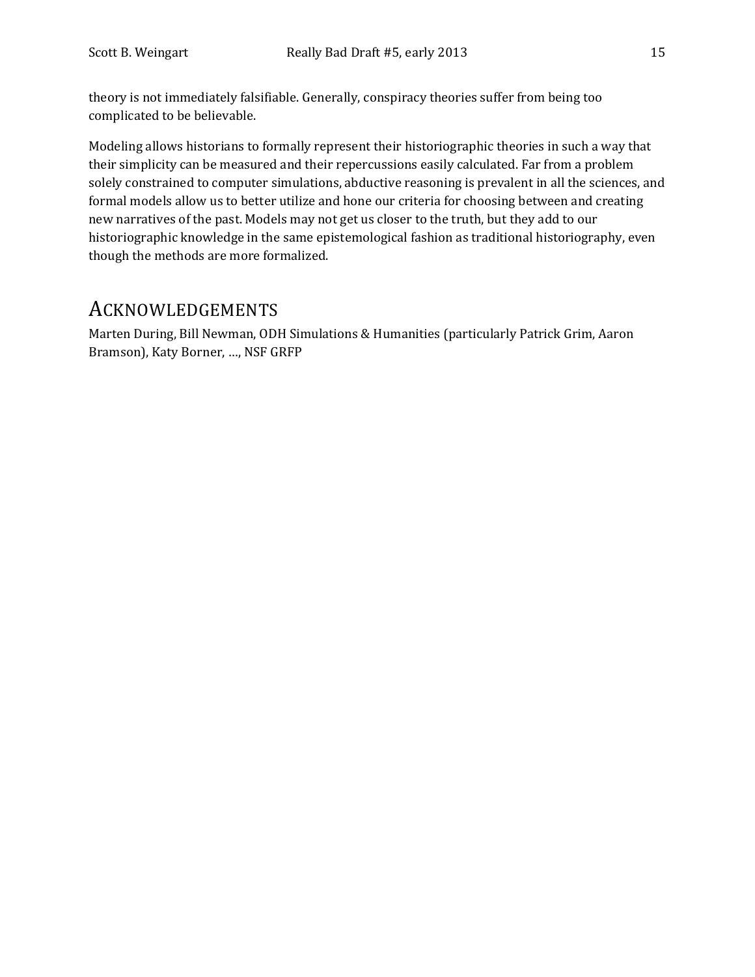theory is not immediately falsifiable. Generally, conspiracy theories suffer from being too complicated to be believable.

Modeling allows historians to formally represent their historiographic theories in such a way that their simplicity can be measured and their repercussions easily calculated. Far from a problem solely constrained to computer simulations, abductive reasoning is prevalent in all the sciences, and formal models allow us to better utilize and hone our criteria for choosing between and creating new narratives of the past. Models may not get us closer to the truth, but they add to our historiographic knowledge in the same epistemological fashion as traditional historiography, even though the methods are more formalized.

### ACKNOWLEDGEMENTS

Marten During, Bill Newman, ODH Simulations & Humanities (particularly Patrick Grim, Aaron Bramson), Katy Borner, …, NSF GRFP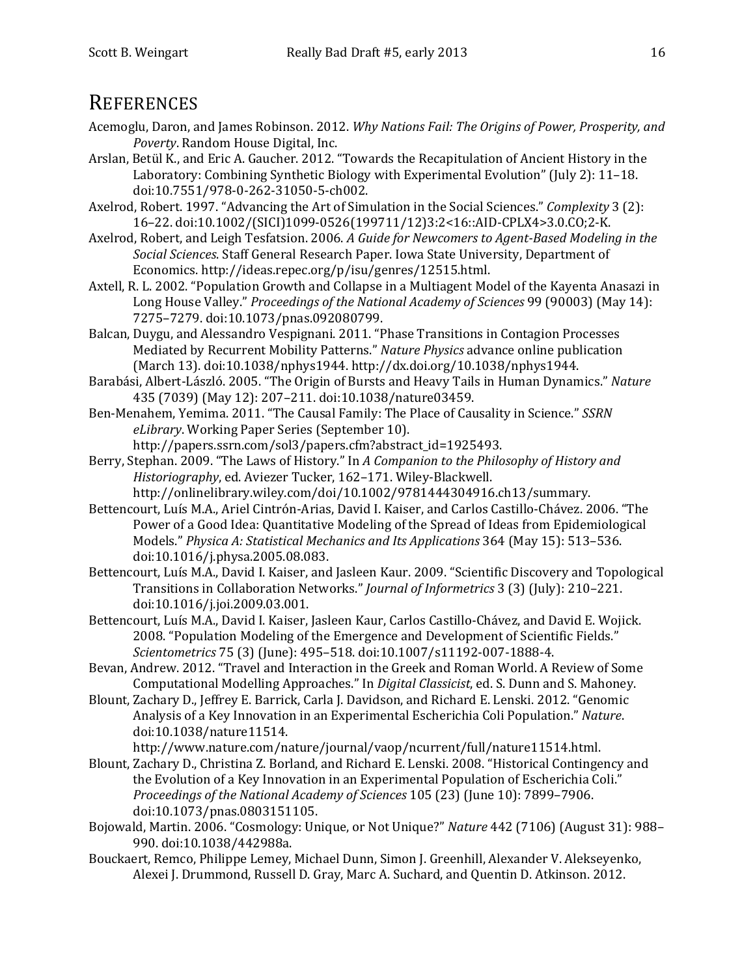### **REFERENCES**

- Acemoglu, Daron, and James Robinson. 2012. *Why Nations Fail: The Origins of Power, Prosperity, and Poverty*. Random House Digital, Inc.
- Arslan, Betül K., and Eric A. Gaucher. 2012. "Towards the Recapitulation of Ancient History in the Laboratory: Combining Synthetic Biology with Experimental Evolution" (July 2): 11–18. doi:10.7551/978-0-262-31050-5-ch002.
- Axelrod, Robert. 1997. "Advancing the Art of Simulation in the Social Sciences." *Complexity* 3 (2): 16–22. doi:10.1002/(SICI)1099-0526(199711/12)3:2<16::AID-CPLX4>3.0.CO;2-K.
- Axelrod, Robert, and Leigh Tesfatsion. 2006. *A Guide for Newcomers to Agent-Based Modeling in the Social Sciences*. Staff General Research Paper. Iowa State University, Department of Economics. http://ideas.repec.org/p/isu/genres/12515.html.
- Axtell, R. L. 2002. "Population Growth and Collapse in a Multiagent Model of the Kayenta Anasazi in Long House Valley." *Proceedings of the National Academy of Sciences* 99 (90003) (May 14): 7275–7279. doi:10.1073/pnas.092080799.
- Balcan, Duygu, and Alessandro Vespignani. 2011. "Phase Transitions in Contagion Processes Mediated by Recurrent Mobility Patterns." *Nature Physics* advance online publication (March 13). doi:10.1038/nphys1944. http://dx.doi.org/10.1038/nphys1944.
- Barabási, Albert-László. 2005. "The Origin of Bursts and Heavy Tails in Human Dynamics." *Nature* 435 (7039) (May 12): 207–211. doi:10.1038/nature03459.
- Ben-Menahem, Yemima. 2011. "The Causal Family: The Place of Causality in Science." *SSRN eLibrary*. Working Paper Series (September 10). http://papers.ssrn.com/sol3/papers.cfm?abstract\_id=1925493.
- Berry, Stephan. 2009. "The Laws of History." In *A Companion to the Philosophy of History and Historiography*, ed. Aviezer Tucker, 162–171. Wiley-Blackwell.
	- http://onlinelibrary.wiley.com/doi/10.1002/9781444304916.ch13/summary.
- Bettencourt, Luís M.A., Ariel Cintrón-Arias, David I. Kaiser, and Carlos Castillo-Chávez. 2006. "The Power of a Good Idea: Quantitative Modeling of the Spread of Ideas from Epidemiological Models." *Physica A: Statistical Mechanics and Its Applications* 364 (May 15): 513–536. doi:10.1016/j.physa.2005.08.083.
- Bettencourt, Luís M.A., David I. Kaiser, and Jasleen Kaur. 2009. "Scientific Discovery and Topological Transitions in Collaboration Networks." *Journal of Informetrics* 3 (3) (July): 210–221. doi:10.1016/j.joi.2009.03.001.
- Bettencourt, Luís M.A., David I. Kaiser, Jasleen Kaur, Carlos Castillo-Chávez, and David E. Wojick. 2008. "Population Modeling of the Emergence and Development of Scientific Fields." *Scientometrics* 75 (3) (June): 495–518. doi:10.1007/s11192-007-1888-4.
- Bevan, Andrew. 2012. "Travel and Interaction in the Greek and Roman World. A Review of Some Computational Modelling Approaches." In *Digital Classicist*, ed. S. Dunn and S. Mahoney.
- Blount, Zachary D., Jeffrey E. Barrick, Carla J. Davidson, and Richard E. Lenski. 2012. "Genomic Analysis of a Key Innovation in an Experimental Escherichia Coli Population." *Nature*. doi:10.1038/nature11514.

http://www.nature.com/nature/journal/vaop/ncurrent/full/nature11514.html.

- Blount, Zachary D., Christina Z. Borland, and Richard E. Lenski. 2008. "Historical Contingency and the Evolution of a Key Innovation in an Experimental Population of Escherichia Coli." *Proceedings of the National Academy of Sciences* 105 (23) (June 10): 7899–7906. doi:10.1073/pnas.0803151105.
- Bojowald, Martin. 2006. "Cosmology: Unique, or Not Unique?" *Nature* 442 (7106) (August 31): 988– 990. doi:10.1038/442988a.
- Bouckaert, Remco, Philippe Lemey, Michael Dunn, Simon J. Greenhill, Alexander V. Alekseyenko, Alexei J. Drummond, Russell D. Gray, Marc A. Suchard, and Quentin D. Atkinson. 2012.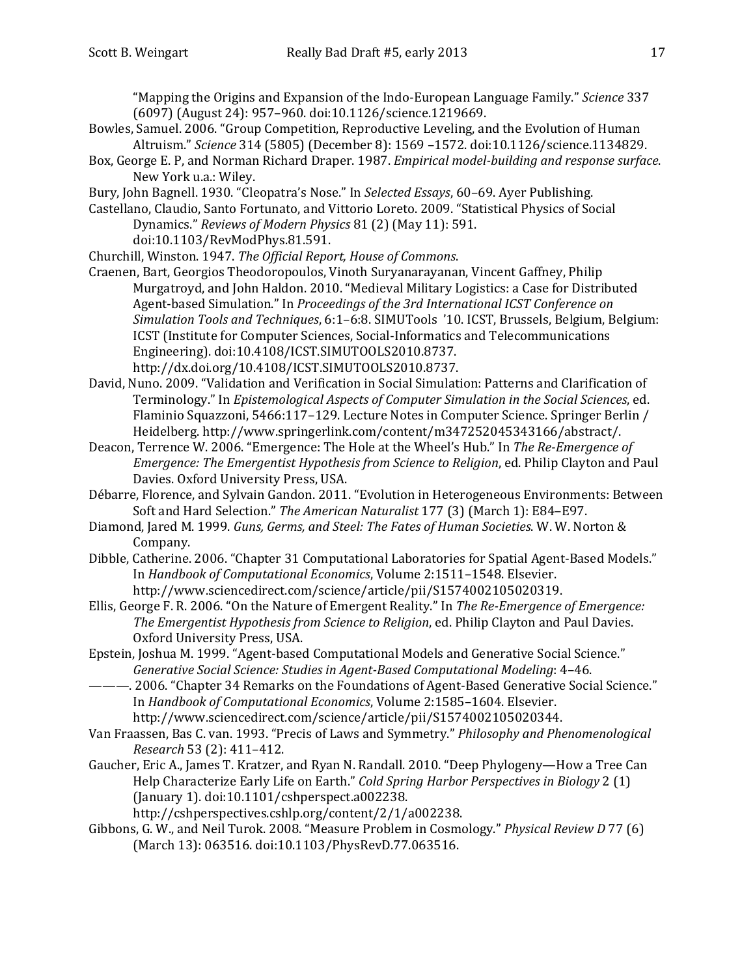"Mapping the Origins and Expansion of the Indo-European Language Family." *Science* 337 (6097) (August 24): 957–960. doi:10.1126/science.1219669.

- Bowles, Samuel. 2006. "Group Competition, Reproductive Leveling, and the Evolution of Human Altruism." *Science* 314 (5805) (December 8): 1569 –1572. doi:10.1126/science.1134829.
- Box, George E. P, and Norman Richard Draper. 1987. *Empirical model-building and response surface*. New York u.a.: Wiley.
- Bury, John Bagnell. 1930. "Cleopatra's Nose." In *Selected Essays*, 60–69. Ayer Publishing.
- Castellano, Claudio, Santo Fortunato, and Vittorio Loreto. 2009. "Statistical Physics of Social Dynamics." *Reviews of Modern Physics* 81 (2) (May 11): 591. doi:10.1103/RevModPhys.81.591.
- Churchill, Winston. 1947. *The Official Report, House of Commons*.
- Craenen, Bart, Georgios Theodoropoulos, Vinoth Suryanarayanan, Vincent Gaffney, Philip Murgatroyd, and John Haldon. 2010. "Medieval Military Logistics: a Case for Distributed Agent-based Simulation." In *Proceedings of the 3rd International ICST Conference on Simulation Tools and Techniques*, 6:1–6:8. SIMUTools '10. ICST, Brussels, Belgium, Belgium: ICST (Institute for Computer Sciences, Social-Informatics and Telecommunications Engineering). doi:10.4108/ICST.SIMUTOOLS2010.8737. http://dx.doi.org/10.4108/ICST.SIMUTOOLS2010.8737.
- David, Nuno. 2009. "Validation and Verification in Social Simulation: Patterns and Clarification of Terminology." In *Epistemological Aspects of Computer Simulation in the Social Sciences*, ed. Flaminio Squazzoni, 5466:117–129. Lecture Notes in Computer Science. Springer Berlin / Heidelberg. http://www.springerlink.com/content/m347252045343166/abstract/.
- Deacon, Terrence W. 2006. "Emergence: The Hole at the Wheel's Hub." In *The Re-Emergence of Emergence: The Emergentist Hypothesis from Science to Religion*, ed. Philip Clayton and Paul Davies. Oxford University Press, USA.
- Débarre, Florence, and Sylvain Gandon. 2011. "Evolution in Heterogeneous Environments: Between Soft and Hard Selection." *The American Naturalist* 177 (3) (March 1): E84–E97.
- Diamond, Jared M. 1999. *Guns, Germs, and Steel: The Fates of Human Societies*. W. W. Norton & Company.
- Dibble, Catherine. 2006. "Chapter 31 Computational Laboratories for Spatial Agent-Based Models." In *Handbook of Computational Economics*, Volume 2:1511–1548. Elsevier. http://www.sciencedirect.com/science/article/pii/S1574002105020319.
- Ellis, George F. R. 2006. "On the Nature of Emergent Reality." In *The Re-Emergence of Emergence: The Emergentist Hypothesis from Science to Religion*, ed. Philip Clayton and Paul Davies. Oxford University Press, USA.
- Epstein, Joshua M. 1999. "Agent-based Computational Models and Generative Social Science." *Generative Social Science: Studies in Agent-Based Computational Modeling*: 4–46.
- ———. 2006. "Chapter 34 Remarks on the Foundations of Agent-Based Generative Social Science." In *Handbook of Computational Economics*, Volume 2:1585–1604. Elsevier. http://www.sciencedirect.com/science/article/pii/S1574002105020344.
- Van Fraassen, Bas C. van. 1993. "Precis of Laws and Symmetry." *Philosophy and Phenomenological Research* 53 (2): 411–412.
- Gaucher, Eric A., James T. Kratzer, and Ryan N. Randall. 2010. "Deep Phylogeny—How a Tree Can Help Characterize Early Life on Earth." *Cold Spring Harbor Perspectives in Biology* 2 (1) (January 1). doi:10.1101/cshperspect.a002238.
	- http://cshperspectives.cshlp.org/content/2/1/a002238.
- Gibbons, G. W., and Neil Turok. 2008. "Measure Problem in Cosmology." *Physical Review D* 77 (6) (March 13): 063516. doi:10.1103/PhysRevD.77.063516.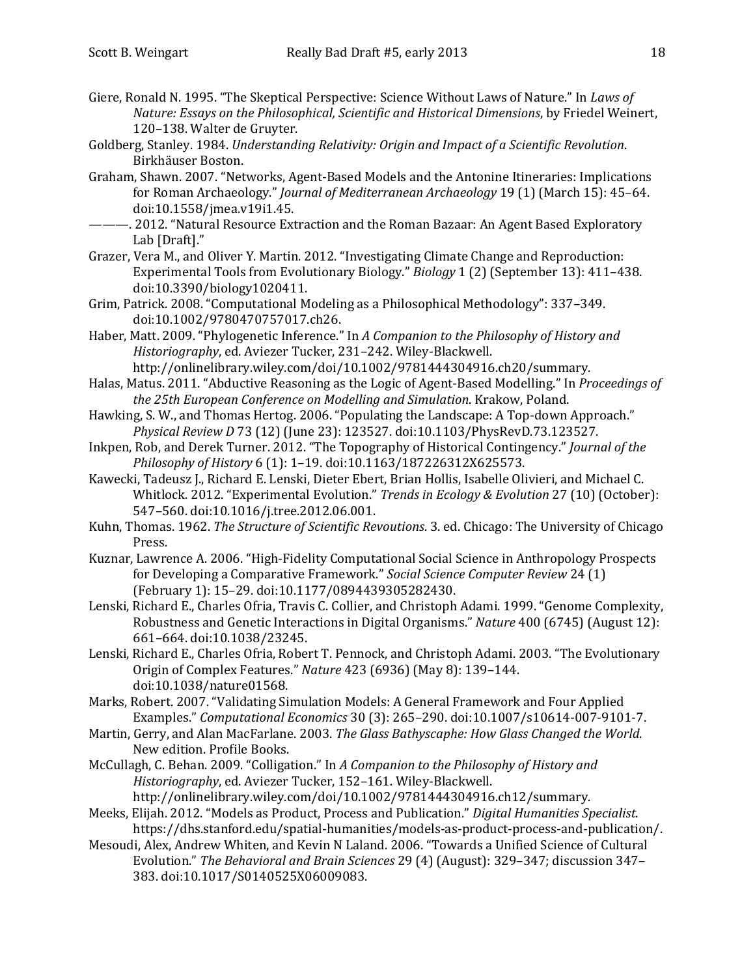- Giere, Ronald N. 1995. "The Skeptical Perspective: Science Without Laws of Nature." In *Laws of Nature: Essays on the Philosophical, Scientific and Historical Dimensions*, by Friedel Weinert, 120–138. Walter de Gruyter.
- Goldberg, Stanley. 1984. *Understanding Relativity: Origin and Impact of a Scientific Revolution*. Birkhäuser Boston.
- Graham, Shawn. 2007. "Networks, Agent-Based Models and the Antonine Itineraries: Implications for Roman Archaeology." *Journal of Mediterranean Archaeology* 19 (1) (March 15): 45–64. doi:10.1558/jmea.v19i1.45.
- ———. 2012. "Natural Resource Extraction and the Roman Bazaar: An Agent Based Exploratory Lab [Draft]."
- Grazer, Vera M., and Oliver Y. Martin. 2012. "Investigating Climate Change and Reproduction: Experimental Tools from Evolutionary Biology." *Biology* 1 (2) (September 13): 411–438. doi:10.3390/biology1020411.
- Grim, Patrick. 2008. "Computational Modeling as a Philosophical Methodology": 337–349. doi:10.1002/9780470757017.ch26.
- Haber, Matt. 2009. "Phylogenetic Inference." In *A Companion to the Philosophy of History and Historiography*, ed. Aviezer Tucker, 231–242. Wiley-Blackwell. http://onlinelibrary.wiley.com/doi/10.1002/9781444304916.ch20/summary.
- Halas, Matus. 2011. "Abductive Reasoning as the Logic of Agent-Based Modelling." In *Proceedings of the 25th European Conference on Modelling and Simulation*. Krakow, Poland.
- Hawking, S. W., and Thomas Hertog. 2006. "Populating the Landscape: A Top-down Approach." *Physical Review D* 73 (12) (June 23): 123527. doi:10.1103/PhysRevD.73.123527.
- Inkpen, Rob, and Derek Turner. 2012. "The Topography of Historical Contingency." *Journal of the Philosophy of History* 6 (1): 1–19. doi:10.1163/187226312X625573.
- Kawecki, Tadeusz J., Richard E. Lenski, Dieter Ebert, Brian Hollis, Isabelle Olivieri, and Michael C. Whitlock. 2012. "Experimental Evolution." *Trends in Ecology & Evolution* 27 (10) (October): 547–560. doi:10.1016/j.tree.2012.06.001.
- Kuhn, Thomas. 1962. *The Structure of Scientific Revoutions*. 3. ed. Chicago: The University of Chicago Press.
- Kuznar, Lawrence A. 2006. "High-Fidelity Computational Social Science in Anthropology Prospects for Developing a Comparative Framework." *Social Science Computer Review* 24 (1) (February 1): 15–29. doi:10.1177/0894439305282430.
- Lenski, Richard E., Charles Ofria, Travis C. Collier, and Christoph Adami. 1999. "Genome Complexity, Robustness and Genetic Interactions in Digital Organisms." *Nature* 400 (6745) (August 12): 661–664. doi:10.1038/23245.
- Lenski, Richard E., Charles Ofria, Robert T. Pennock, and Christoph Adami. 2003. "The Evolutionary Origin of Complex Features." *Nature* 423 (6936) (May 8): 139–144. doi:10.1038/nature01568.
- Marks, Robert. 2007. "Validating Simulation Models: A General Framework and Four Applied Examples." *Computational Economics* 30 (3): 265–290. doi:10.1007/s10614-007-9101-7.
- Martin, Gerry, and Alan MacFarlane. 2003. *The Glass Bathyscaphe: How Glass Changed the World*. New edition. Profile Books.
- McCullagh, C. Behan. 2009. "Colligation." In *A Companion to the Philosophy of History and Historiography*, ed. Aviezer Tucker, 152–161. Wiley-Blackwell. http://onlinelibrary.wiley.com/doi/10.1002/9781444304916.ch12/summary.
- Meeks, Elijah. 2012. "Models as Product, Process and Publication." *Digital Humanities Specialist*. https://dhs.stanford.edu/spatial-humanities/models-as-product-process-and-publication/.
- Mesoudi, Alex, Andrew Whiten, and Kevin N Laland. 2006. "Towards a Unified Science of Cultural Evolution." *The Behavioral and Brain Sciences* 29 (4) (August): 329–347; discussion 347– 383. doi:10.1017/S0140525X06009083.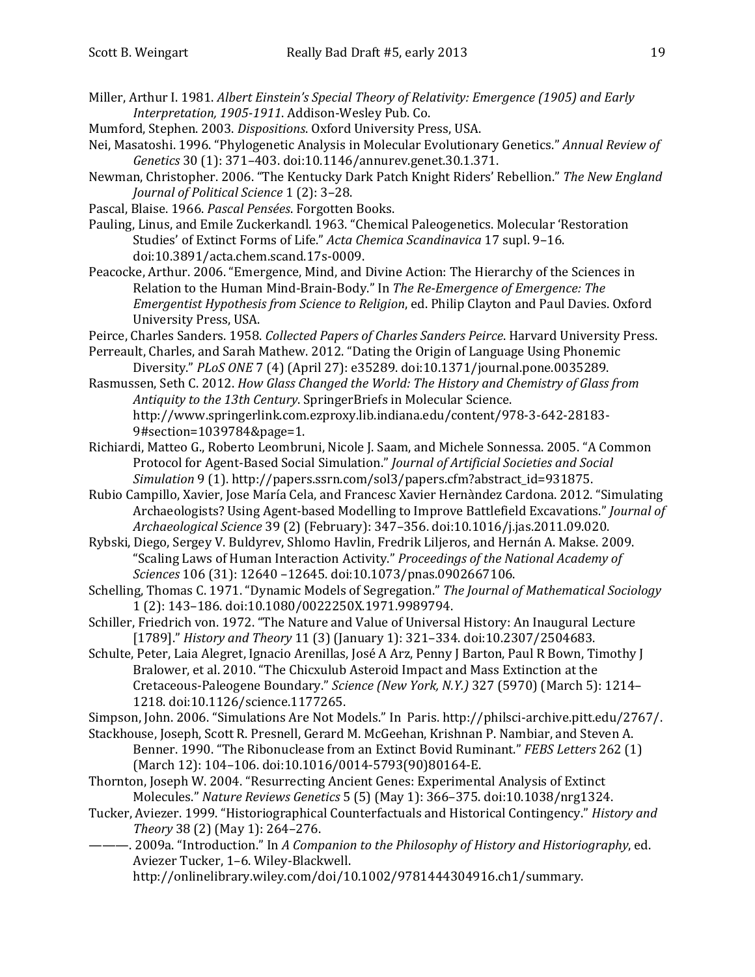- Miller, Arthur I. 1981. *Albert Einstein's Special Theory of Relativity: Emergence (1905) and Early Interpretation, 1905-1911*. Addison-Wesley Pub. Co.
- Mumford, Stephen. 2003. *Dispositions*. Oxford University Press, USA.
- Nei, Masatoshi. 1996. "Phylogenetic Analysis in Molecular Evolutionary Genetics." *Annual Review of Genetics* 30 (1): 371–403. doi:10.1146/annurev.genet.30.1.371.
- Newman, Christopher. 2006. "The Kentucky Dark Patch Knight Riders' Rebellion." *The New England Journal of Political Science* 1 (2): 3–28.
- Pascal, Blaise. 1966. *Pascal Pensées*. Forgotten Books.
- Pauling, Linus, and Emile Zuckerkandl. 1963. "Chemical Paleogenetics. Molecular 'Restoration Studies' of Extinct Forms of Life." *Acta Chemica Scandinavica* 17 supl. 9–16. doi:10.3891/acta.chem.scand.17s-0009.
- Peacocke, Arthur. 2006. "Emergence, Mind, and Divine Action: The Hierarchy of the Sciences in Relation to the Human Mind-Brain-Body." In *The Re-Emergence of Emergence: The Emergentist Hypothesis from Science to Religion*, ed. Philip Clayton and Paul Davies. Oxford University Press, USA.
- Peirce, Charles Sanders. 1958. *Collected Papers of Charles Sanders Peirce*. Harvard University Press.
- Perreault, Charles, and Sarah Mathew. 2012. "Dating the Origin of Language Using Phonemic Diversity." *PLoS ONE* 7 (4) (April 27): e35289. doi:10.1371/journal.pone.0035289.
- Rasmussen, Seth C. 2012. *How Glass Changed the World: The History and Chemistry of Glass from Antiquity to the 13th Century*. SpringerBriefs in Molecular Science. http://www.springerlink.com.ezproxy.lib.indiana.edu/content/978-3-642-28183- 9#section=1039784&page=1.
- Richiardi, Matteo G., Roberto Leombruni, Nicole J. Saam, and Michele Sonnessa. 2005. "A Common Protocol for Agent-Based Social Simulation." *Journal of Artificial Societies and Social Simulation* 9 (1). http://papers.ssrn.com/sol3/papers.cfm?abstract\_id=931875.
- Rubio Campillo, Xavier, Jose María Cela, and Francesc Xavier Hernàndez Cardona. 2012. "Simulating Archaeologists? Using Agent-based Modelling to Improve Battlefield Excavations." *Journal of Archaeological Science* 39 (2) (February): 347–356. doi:10.1016/j.jas.2011.09.020.
- Rybski, Diego, Sergey V. Buldyrev, Shlomo Havlin, Fredrik Liljeros, and Hernán A. Makse. 2009. "Scaling Laws of Human Interaction Activity." *Proceedings of the National Academy of Sciences* 106 (31): 12640 –12645. doi:10.1073/pnas.0902667106.
- Schelling, Thomas C. 1971. "Dynamic Models of Segregation." *The Journal of Mathematical Sociology* 1 (2): 143–186. doi:10.1080/0022250X.1971.9989794.
- Schiller, Friedrich von. 1972. "The Nature and Value of Universal History: An Inaugural Lecture [1789]." *History and Theory* 11 (3) (January 1): 321–334. doi:10.2307/2504683.
- Schulte, Peter, Laia Alegret, Ignacio Arenillas, José A Arz, Penny J Barton, Paul R Bown, Timothy J Bralower, et al. 2010. "The Chicxulub Asteroid Impact and Mass Extinction at the Cretaceous-Paleogene Boundary." *Science (New York, N.Y.)* 327 (5970) (March 5): 1214– 1218. doi:10.1126/science.1177265.

Simpson, John. 2006. "Simulations Are Not Models." In Paris. http://philsci-archive.pitt.edu/2767/.

- Stackhouse, Joseph, Scott R. Presnell, Gerard M. McGeehan, Krishnan P. Nambiar, and Steven A. Benner. 1990. "The Ribonuclease from an Extinct Bovid Ruminant." *FEBS Letters* 262 (1) (March 12): 104–106. doi:10.1016/0014-5793(90)80164-E.
- Thornton, Joseph W. 2004. "Resurrecting Ancient Genes: Experimental Analysis of Extinct Molecules." *Nature Reviews Genetics* 5 (5) (May 1): 366–375. doi:10.1038/nrg1324.
- Tucker, Aviezer. 1999. "Historiographical Counterfactuals and Historical Contingency." *History and Theory* 38 (2) (May 1): 264–276.

———. 2009a. "Introduction." In *A Companion to the Philosophy of History and Historiography*, ed. Aviezer Tucker, 1–6. Wiley-Blackwell. http://onlinelibrary.wiley.com/doi/10.1002/9781444304916.ch1/summary.